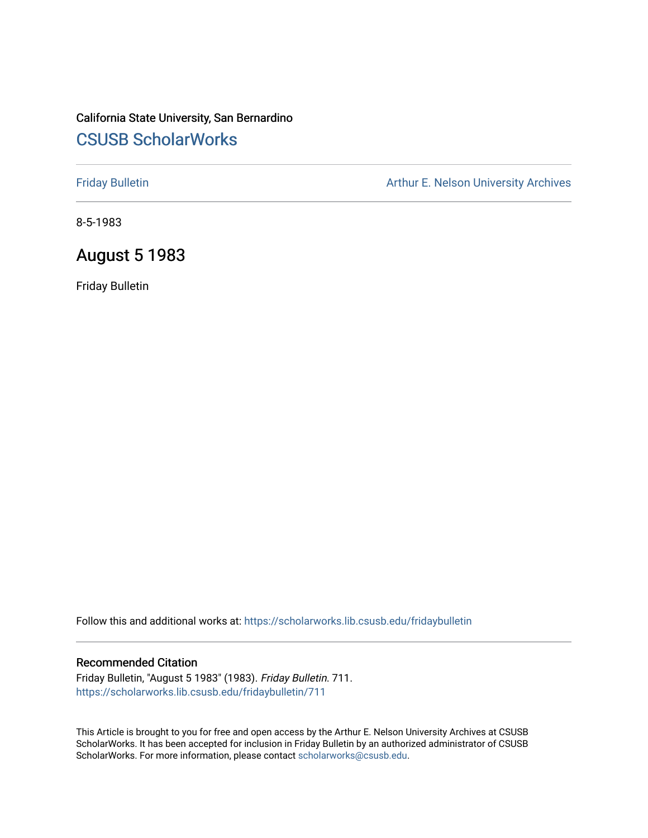# California State University, San Bernardino [CSUSB ScholarWorks](https://scholarworks.lib.csusb.edu/)

[Friday Bulletin](https://scholarworks.lib.csusb.edu/fridaybulletin) **Arthur E. Nelson University Archives** Arthur E. Nelson University Archives

8-5-1983

# August 5 1983

Friday Bulletin

Follow this and additional works at: [https://scholarworks.lib.csusb.edu/fridaybulletin](https://scholarworks.lib.csusb.edu/fridaybulletin?utm_source=scholarworks.lib.csusb.edu%2Ffridaybulletin%2F711&utm_medium=PDF&utm_campaign=PDFCoverPages)

### Recommended Citation

Friday Bulletin, "August 5 1983" (1983). Friday Bulletin. 711. [https://scholarworks.lib.csusb.edu/fridaybulletin/711](https://scholarworks.lib.csusb.edu/fridaybulletin/711?utm_source=scholarworks.lib.csusb.edu%2Ffridaybulletin%2F711&utm_medium=PDF&utm_campaign=PDFCoverPages)

This Article is brought to you for free and open access by the Arthur E. Nelson University Archives at CSUSB ScholarWorks. It has been accepted for inclusion in Friday Bulletin by an authorized administrator of CSUSB ScholarWorks. For more information, please contact [scholarworks@csusb.edu.](mailto:scholarworks@csusb.edu)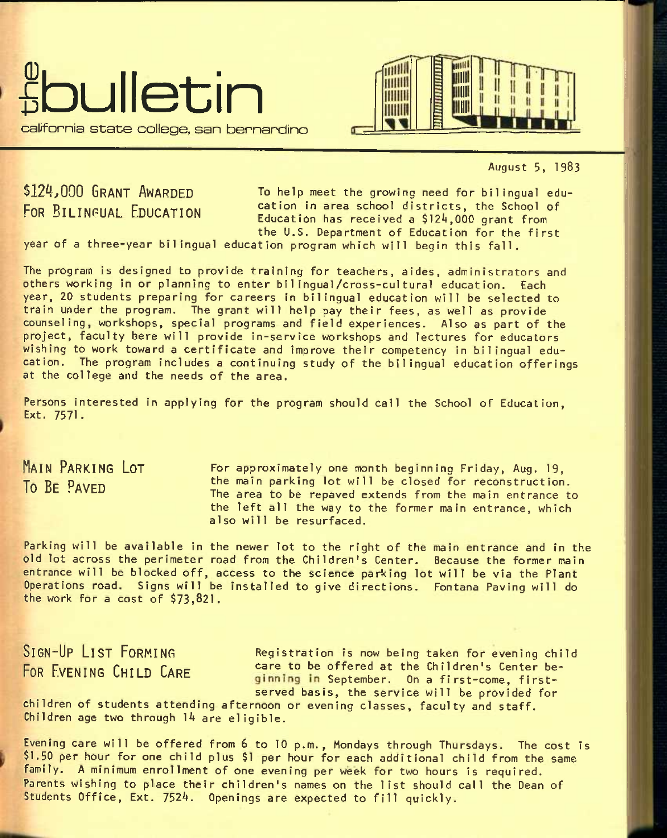



August 5, 1983

# \$124,000 GRANT AWARDED FOR **BILINGUAL EDUCATION**

To help meet the growing need for bilingual education In area school districts, the School of Education has received a \$124,000 grant from the U.S. Department of Education for the first

year of a three-year bilingual education program which will begin this fall.

The program is designed to provide training for teachers, aides, administrators and others working In or planning to enter bilingual/cross-cultural education. Each year, 20 students preparing for careers In bilingual education will be selected to train under the program. The grant will help pay their fees, as well as provide counseling, workshops, special programs and field experiences. Also as part of the project, faculty here will provide in-service workshops and lectures for educators wishing to work toward a certificate and improve their competency in bilingual education. The program Includes a continuing study of the bilingual education offerings at the college and the needs of the area.

Persons interested in applying for the program should call the School of Education, Ext. 7571.

MAIN PARKING LOT **To** BE PAVED

For approximately one month beginning Friday, Aug. 19, the main parking lot will be closed for reconstruction. The area to be repaved extends from the main entrance to the left all the way to the former main entrance, which also will be resurfaced.

Parking will be available in the newer lot to the right of the main entrance and in the old lot across the perimeter road from the Children's Center. Because the former main entrance will be blocked off, access to the science parking lot will be via the Plant Operations road. Signs will be Installed to give directions. Fontana Paving will do the work for a cost of \$73,821.

SIGN-UP LIST FORMING Registration is now being taken for evening child POR EVENING CHILD CARE care to be offered at the Children's Center be-<br>
ginning in September, On a first-come, firstserved basis, the service will be provided for

children of students attending afternoon or evening classes, faculty and staff.  $Child$ ren age two through  $14$  are eligible.

Evening care will be offered from 6 to 10 p.m., Mondays through Thursdays. The cost Is \$1.50 per hour for one child plus \$1 per hour for each additional child from the same family. A minimum enrollment of one evening per week for two hours is required. Parents wishing to place their children's names on the list should call the Dean of Students Office, Ext. 7524. Openings are expected to fill quickly.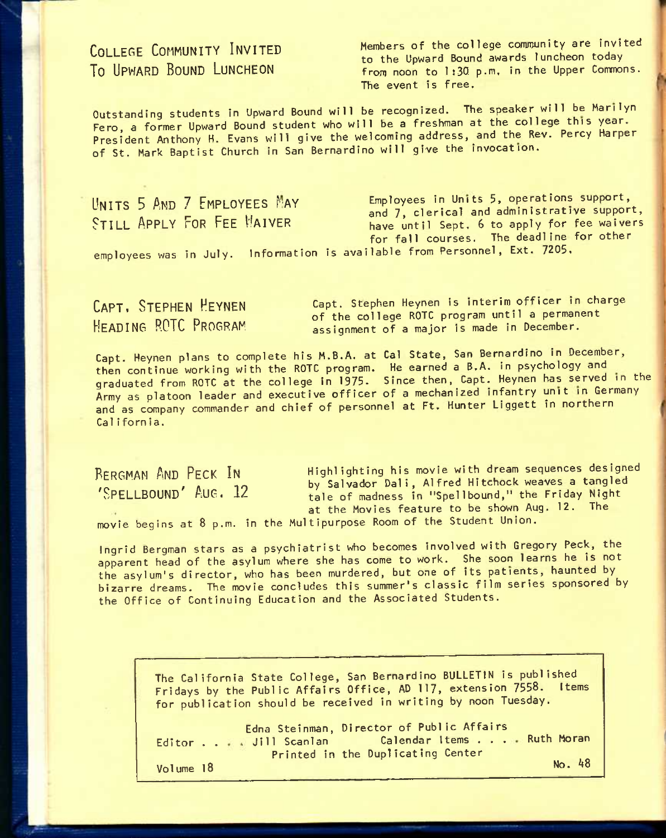# COLLEGE COHMUNITY INVITED **To** UPWARD BOUND LUNCHEON

Members of the college community are invited to the Upward Bound awards luncheon today from noon to 1:30 p.m. in the Upper Commons. The event is free.

Outstanding students in Upward Bound will be recognized. The speaker will be Marilyn Fero, a former Upward Bound student who will be a freshman at the college this year. President Anthony H. Evans will give the welcoming address, and the Rev. Percy Harper of St. Mark Baptist Church in San Bernardino will give the invocation.

UNITS 5 AND 7 EMPLOYEES MAY STILL APPLY FOR FEE MAIVER employees was in July. Information is available from Personnel, Ext. 7205. Employees in Units 5, operations support, and 7, clerical and administrative support, have until Sept, 6 to apply for fee waivers for fall courses. The deadline for other

CAPT. STEPHEN HEYNEN HEADING ROTC PROGRAM

Capt. Stephen Heynen is interim officer in charge of the college ROTC program until a permanent assignment of a major is made in December.

Capt. Heynen plans to complete his M.B.A. at Cal State, San Bernardino in December, then continue working with the ROTC program. He earned a B.A. in psychology and graduated from ROTC at the college in 1975. Since then, Capt. Heynen has served in the Army as platoon leader and executive officer of a mechanized infantry unit in Germany and as company commander and chief of personnel at Ft. Hunter Liggett in northern California.

BERGMAN AND PECK IN 'SPELLBOUND' AUG. 12 Highlighting his movie with dream sequences designed by Salvador Dali, Alfred Hitchock weaves a tangled tale of madness in "Spellbound," the Friday Night at the Movies feature to be shown Aug. 12. The

movie begins at 8 p.m. in the Multipurpose Room of the Student Union.

Ingrid Bergman stars as a psychiatrist who becomes involved with Gregory Peck, the apparent head of the asylum where she has come to work. She soon learns he is not the asylum's director, who has been murdered, but one of its patients, haunted by bizarre dreams. The movie concludes this summer's classic film series sponsored by the Office of Continuing Education and the Associated Students.

> The California State College, San Bernardino BULLETIN is published Fridays by the Public Affairs Office, AD 117, extension 7558. Items for publication should be received in writing by noon Tuesday.

> Editor . . . Jill Scanlan Director of Public Affairs<br>Editor . . . Jill Scanlan Calendar Items . . . . Ruth Moran Volume 18 Edna Steinman, Director of Public Affairs Printed in the Duplicating Center No. 48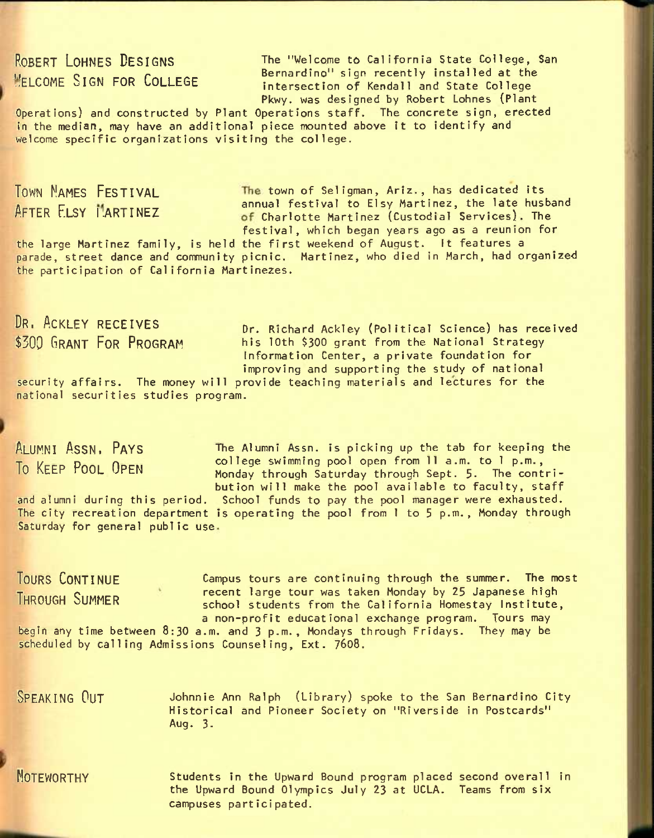ROBERT LOHNES DESIGNS The "Welcome to California State College, San **EXAMPLE CONCLUSION**<br> **EXAMPLE SIGN FOR COLLEGE Example intersection of Kendall and State College** intersection of Kendall and State College Pkwy. was designed by Robert Lohnes (Plant

Operations) and constructed by Plant Operations staff. The concrete sign, erected in the median, may have an additional piece mounted above it to identify and welcome specific organizations visiting the college.

TOWN NAMES FESTIVAL **The town of Seligman, Ariz., has dedicated its** AFTER FLSY MARTINEZ annual festival to Elsy Martinez, the late husband of Charlotte Martinez (Custodial Services). The festival, which began years ago as a reunion for

the large Martinez family, is held the first weekend of August. It features a parade, street dance and community picnic. Martinez, who died in March, had organized the participation of California Martinezes.

# DR, ACKLEY RECEIVES \$300 GRANT FOR PROGRAM

Dr. Richard Ackley (Political Science) has received his 10th \$300 grant from the National Strategy Information Center, a private foundation for improving and supporting the study of national

security affairs. The money will provide teaching materials and lectures for the national securities studies program.

## ALUMNI ASSN, PAYS **To** KEEP POOL OPEN

The Alumni Assn. is picking up the tab for keeping the college swimming pool open from 11 a.m. to 1 p.m., Monday through Saturday through Sept. 5. The contribution will make the pool available to faculty, staff

and alumni during this period. School funds to pay the pool manager were exhausted, The city recreation department is operating the pool from 1 to 5 p.m., Monday through Saturday for general public use.

TOURS CONTINUE **Campus tours are continuing through the summer.** The most THROUGH SUMMER **recent large tour was taken Monday by 25 Japanese high** school students from the California Homestay Institute, a non-profit educational exchange program. Tours may begin any time between 8:30 a.m. and 3 p.m., Mondays through Fridays. They may be scheduled by calling Admissions Counseling, Ext. 7608.

SPEAKING OUT Johnnie Ann Ralph (Library) spoke to the San Bernardino City Historical and Pioneer Society on "Riverside in Postcards" Aug. 3.

NOTEWORTHY Students in the Upward Bound program placed second overall in the Upward Bound Olympics July 23 at UCLA. Teams from six campuses participated.